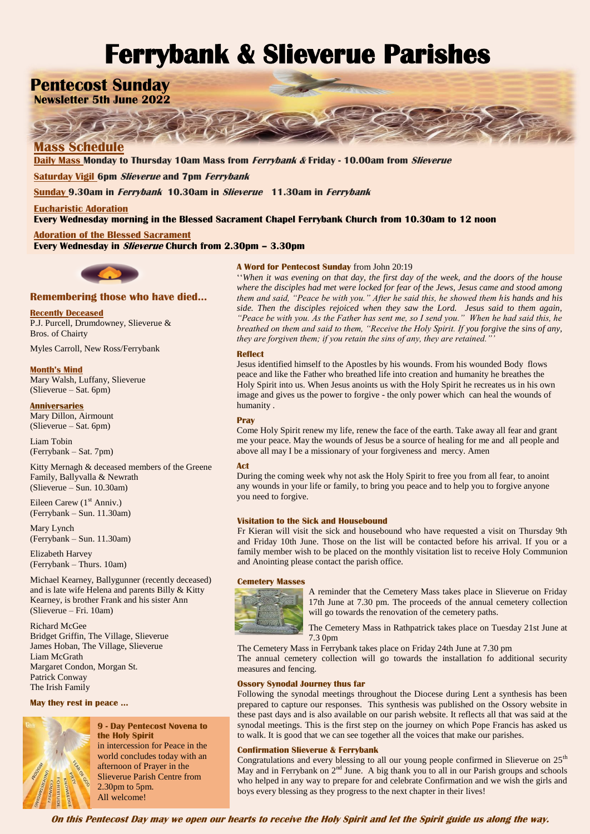# **Ferrybank & Slieverue Parishes**

# **Pentecost Sunday**

**Newsletter 5th June 2022**

# **Mass Schedule**

**Daily Mass Monday to Thursday 10am Mass from Ferrybank & Friday - 10.00am from Slieverue**

**Saturday Vigil 6pm Slieverue and 7pm Ferrybank** 

**Sunday 9.30am in Ferrybank 10.30am in Slieverue 11.30am in Ferrybank**

**Eucharistic Adoration Every Wednesday morning in the Blessed Sacrament Chapel Ferrybank Church from 10.30am to 12 noon**

**Adoration of the Blessed Sacrament Every Wednesday in Slieverue Church from 2.30pm – 3.30pm**



# **Remembering those who have died…**

**Recently Deceased**

P.J. Purcell, Drumdowney, Slieverue & Bros. of Chairty

Myles Carroll, New Ross/Ferrybank

**Month's Mind** Mary Walsh, Luffany, Slieverue (Slieverue – Sat. 6pm)

**Anniversaries** Mary Dillon, Airmount (Slieverue – Sat. 6pm)

Liam Tobin (Ferrybank – Sat. 7pm)

Kitty Mernagh & deceased members of the Greene Family, Ballyvalla & Newrath (Slieverue – Sun. 10.30am)

Eileen Carew (1<sup>st</sup> Anniv.) (Ferrybank – Sun. 11.30am)

Mary Lynch (Ferrybank – Sun. 11.30am)

Elizabeth Harvey (Ferrybank – Thurs. 10am)

Michael Kearney, Ballygunner (recently deceased) and is late wife Helena and parents Billy & Kitty Kearney, is brother Frank and his sister Ann (Slieverue – Fri. 10am)

Richard McGee Bridget Griffin, The Village, Slieverue James Hoban, The Village, Slieverue Liam McGrath Margaret Condon, Morgan St. Patrick Conway The Irish Family

**May they rest in peace …**



# **9 - Day Pentecost Novena to the Holy Spirit**

in intercession for Peace in the world concludes today with an afternoon of Prayer in the Slieverue Parish Centre from 2.30pm to 5pm. All welcome!

## **A Word for Pentecost Sunday** from John 20:19

''*When it was evening on that day, the first day of the week, and the doors of the house where the disciples had met were locked for fear of the Jews, Jesus came and stood among them and said, "Peace be with you." After he said this, he showed them his hands and his side. Then the disciples rejoiced when they saw the Lord. Jesus said to them again, "Peace be with you. As the Father has sent me, so I send you." When he had said this, he breathed on them and said to them, "Receive the Holy Spirit. If you forgive the sins of any, they are forgiven them; if you retain the sins of any, they are retained.*"

#### **Reflect**

Jesus identified himself to the Apostles by his wounds. From his wounded Body flows peace and like the Father who breathed life into creation and humanity he breathes the Holy Spirit into us. When Jesus anoints us with the Holy Spirit he recreates us in his own image and gives us the power to forgive - the only power which can heal the wounds of humanity .

## **Pray**

Come Holy Spirit renew my life, renew the face of the earth. Take away all fear and grant me your peace. May the wounds of Jesus be a source of healing for me and all people and above all may I be a missionary of your forgiveness and mercy. Amen

#### **Act**

During the coming week why not ask the Holy Spirit to free you from all fear, to anoint any wounds in your life or family, to bring you peace and to help you to forgive anyone you need to forgive.

#### **Visitation to the Sick and Housebound**

Fr Kieran will visit the sick and housebound who have requested a visit on Thursday 9th and Friday 10th June. Those on the list will be contacted before his arrival. If you or a family member wish to be placed on the monthly visitation list to receive Holy Communion and Anointing please contact the parish office.

#### **Cemetery Masses**



A reminder that the Cemetery Mass takes place in Slieverue on Friday 17th June at 7.30 pm. The proceeds of the annual cemetery collection will go towards the renovation of the cemetery paths.

The Cemetery Mass in Rathpatrick takes place on Tuesday 21st June at 7.3 0pm

The Cemetery Mass in Ferrybank takes place on Friday 24th June at 7.30 pm The annual cemetery collection will go towards the installation fo additional security measures and fencing.

#### **Ossory Synodal Journey thus far**

Following the synodal meetings throughout the Diocese during Lent a synthesis has been prepared to capture our responses. This synthesis was published on the Ossory website in these past days and is also available on our parish website. It reflects all that was said at the synodal meetings. This is the first step on the journey on which Pope Francis has asked us to walk. It is good that we can see together all the voices that make our parishes.

#### **Confirmation Slieverue & Ferrybank**

Congratulations and every blessing to all our young people confirmed in Slieverue on 25<sup>th</sup> May and in Ferrybank on  $2<sup>nd</sup>$  June. A big thank you to all in our Parish groups and schools who helped in any way to prepare for and celebrate Confirmation and we wish the girls and boys every blessing as they progress to the next chapter in their lives!

**On this Pentecost Day may we open our hearts to receive the Holy Spirit and let the Spirit guide us along the way.**